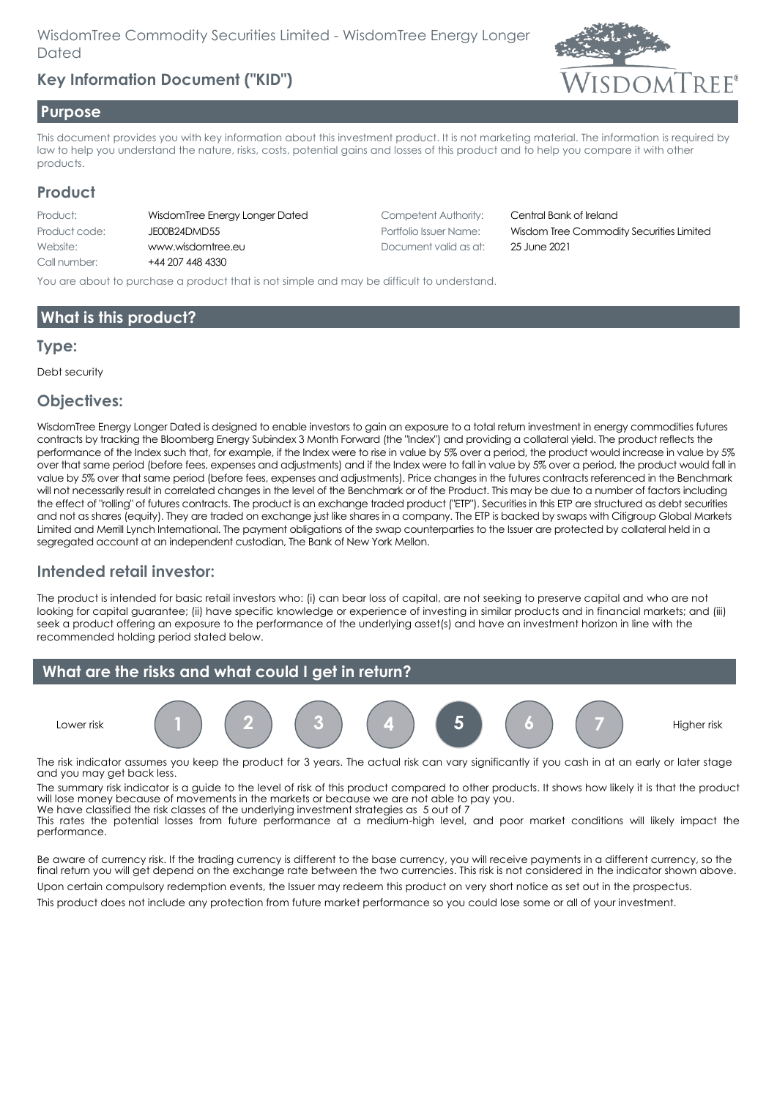# **Key Information Document ("KID")**



#### **Purpose**

This document provides you with key information about this investment product. It is not marketing material. The information is required by law to help you understand the nature, risks, costs, potential gains and losses of this product and to help you compare it with other products.

### **Product**

| WisdomTree Energy Longer |
|--------------------------|
| JE00B24DMD55             |
| www.wisdomtree.eu        |
| +44 207 448 4330         |
|                          |

Dated Competent Authority: Central Bank of Ireland Document valid as at: 25 June 2021

Portfolio Issuer Name: Wisdom Tree Commodity Securities Limited

You are about to purchase a product that is not simple and may be difficult to understand.

### **What is this product?**

#### **Type:**

Debt security

### **Objectives:**

WisdomTree Energy Longer Dated is designed to enable investors to gain an exposure to a total return investment in energy commodities futures contracts by tracking the Bloomberg Energy Subindex 3 Month Forward (the "Index") and providing a collateral yield. The product reflects the performance of the Index such that, for example, if the Index were to rise in value by 5% over a period, the product would increase in value by 5% over that same period (before fees, expenses and adjustments) and if the Index were to fall in value by 5% over a period, the product would fall in value by 5% over that same period (before fees, expenses and adjustments). Price changes in the futures contracts referenced in the Benchmark will not necessarily result in correlated changes in the level of the Benchmark or of the Product. This may be due to a number of factors including the effect of "rolling" of futures contracts. The product is an exchange traded product ("ETP"). Securities in this ETP are structured as debt securities and not as shares (equity). They are traded on exchange just like shares in a company. The ETP is backed by swaps with Citigroup Global Markets Limited and Merrill Lynch International. The payment obligations of the swap counterparties to the Issuer are protected by collateral held in a segregated account at an independent custodian, The Bank of New York Mellon.

### **Intended retail investor:**

The product is intended for basic retail investors who: (i) can bear loss of capital, are not seeking to preserve capital and who are not looking for capital guarantee; (ii) have specific knowledge or experience of investing in similar products and in financial markets; and (iii) seek a product offering an exposure to the performance of the underlying asset(s) and have an investment horizon in line with the recommended holding period stated below.



The risk indicator assumes you keep the product for 3 years. The actual risk can vary significantly if you cash in at an early or later stage and you may get back less.

The summary risk indicator is a guide to the level of risk of this product compared to other products. It shows how likely it is that the product will lose money because of movements in the markets or because we are not able to pay you. We have classified the risk classes of the underlying investment strategies as 5 out of 7

This rates the potential losses from future performance at a medium-high level, and poor market conditions will likely impact the performance.

Be aware of currency risk. If the trading currency is different to the base currency, you will receive payments in a different currency, so the final return you will get depend on the exchange rate between the two currencies. This risk is not considered in the indicator shown above.

Upon certain compulsory redemption events, the Issuer may redeem this product on very short notice as set out in the prospectus. This product does not include any protection from future market performance so you could lose some or all of your investment.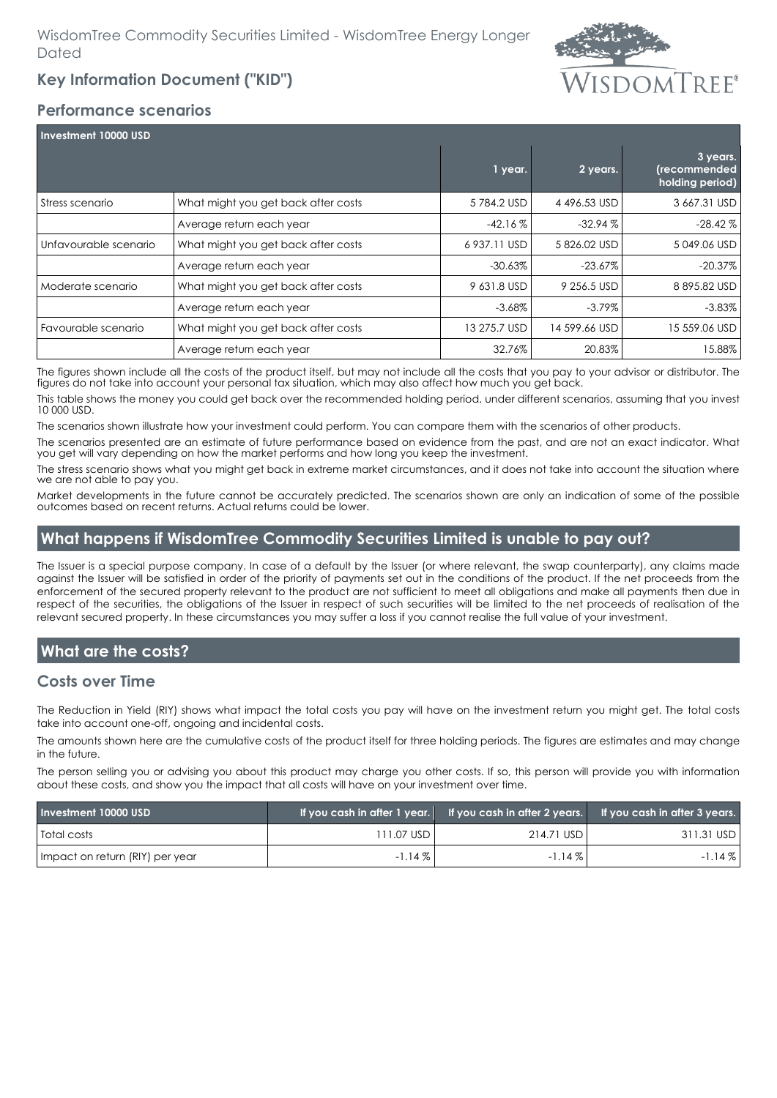

### **Key Information Document ("KID")**

### **Performance scenarios**

| Investment 10000 USD  |                                     |              |               |                                             |  |
|-----------------------|-------------------------------------|--------------|---------------|---------------------------------------------|--|
|                       |                                     | 1 year.      | 2 years.      | 3 years.<br>(recommended<br>holding period) |  |
| Stress scenario       | What might you get back after costs | 5784.2 USD   | 4496.53 USD   | 3 667.31 USD                                |  |
|                       | Average return each year            | $-42.16\%$   | $-32.94%$     | $-28.42\%$                                  |  |
| Unfavourable scenario | What might you get back after costs | 6 937.11 USD | 5826.02 USD   | 5049.06 USD                                 |  |
|                       | Average return each year            | $-30.63\%$   | $-23.67\%$    | $-20.37\%$                                  |  |
| Moderate scenario     | What might you get back after costs | 9 631.8 USD  | 9 256.5 USD   | 8895.82 USD                                 |  |
|                       | Average return each year            | $-3.68\%$    | $-3.79\%$     | $-3.83\%$                                   |  |
| Favourable scenario   | What might you get back after costs | 13 275.7 USD | 14 599.66 USD | 15 559.06 USD                               |  |
|                       | Average return each year            | 32.76%       | 20.83%        | 15.88%                                      |  |

The figures shown include all the costs of the product itself, but may not include all the costs that you pay to your advisor or distributor. The figures do not take into account your personal tax situation, which may also affect how much you get back.

This table shows the money you could get back over the recommended holding period, under different scenarios, assuming that you invest 10 000 USD.

The scenarios shown illustrate how your investment could perform. You can compare them with the scenarios of other products.

The scenarios presented are an estimate of future performance based on evidence from the past, and are not an exact indicator. What you get will vary depending on how the market performs and how long you keep the investment.

The stress scenario shows what you might get back in extreme market circumstances, and it does not take into account the situation where we are not able to pay you.

Market developments in the future cannot be accurately predicted. The scenarios shown are only an indication of some of the possible outcomes based on recent returns. Actual returns could be lower.

### **What happens if WisdomTree Commodity Securities Limited is unable to pay out?**

The Issuer is a special purpose company. In case of a default by the Issuer (or where relevant, the swap counterparty), any claims made against the Issuer will be satisfied in order of the priority of payments set out in the conditions of the product. If the net proceeds from the enforcement of the secured property relevant to the product are not sufficient to meet all obligations and make all payments then due in respect of the securities, the obligations of the Issuer in respect of such securities will be limited to the net proceeds of realisation of the relevant secured property. In these circumstances you may suffer a loss if you cannot realise the full value of your investment.

# **What are the costs?**

### **Costs over Time**

The Reduction in Yield (RIY) shows what impact the total costs you pay will have on the investment return you might get. The total costs take into account one-off, ongoing and incidental costs.

The amounts shown here are the cumulative costs of the product itself for three holding periods. The figures are estimates and may change in the future.

The person selling you or advising you about this product may charge you other costs. If so, this person will provide you with information about these costs, and show you the impact that all costs will have on your investment over time.

| Investment 10000 USD            |              |              | If you cash in after 1 year. If you cash in after 2 years. If you cash in after 3 years. |
|---------------------------------|--------------|--------------|------------------------------------------------------------------------------------------|
| Total costs                     | 111.07 USD I | 214.71 USD I | 311.31 USD                                                                               |
| Impact on return (RIY) per year | $-1.14\%$    | $-1.14\%$    | $-1.14\%$                                                                                |